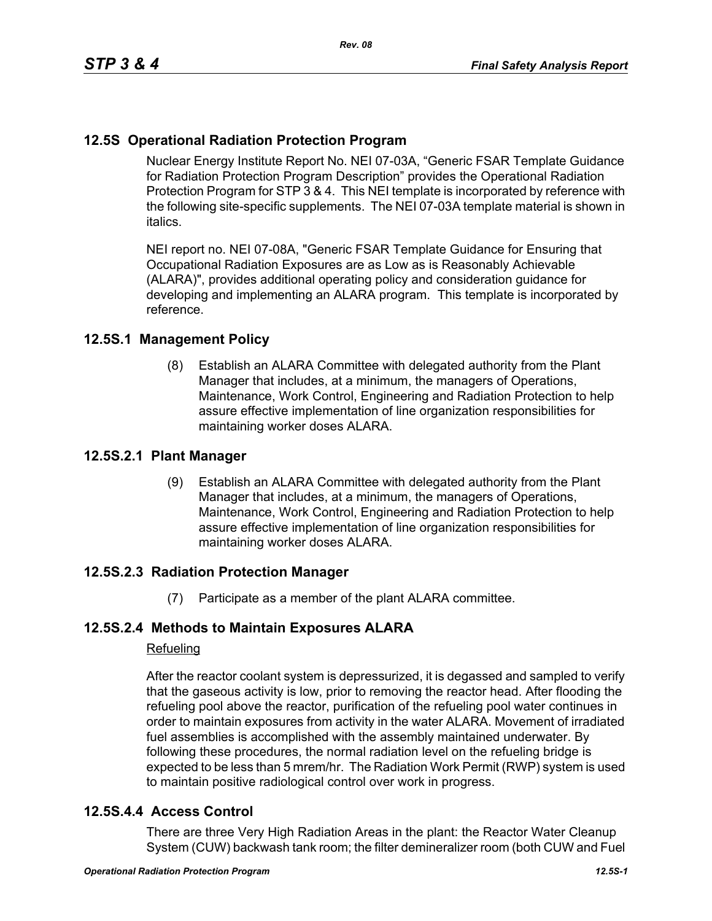# **12.5S Operational Radiation Protection Program**

Nuclear Energy Institute Report No. NEI 07-03A, "Generic FSAR Template Guidance for Radiation Protection Program Description" provides the Operational Radiation Protection Program for STP 3 & 4. This NEI template is incorporated by reference with the following site-specific supplements. The NEI 07-03A template material is shown in italics.

NEI report no. NEI 07-08A, "Generic FSAR Template Guidance for Ensuring that Occupational Radiation Exposures are as Low as is Reasonably Achievable (ALARA)", provides additional operating policy and consideration guidance for developing and implementing an ALARA program. This template is incorporated by reference.

#### **12.5S.1 Management Policy**

(8) Establish an ALARA Committee with delegated authority from the Plant Manager that includes, at a minimum, the managers of Operations, Maintenance, Work Control, Engineering and Radiation Protection to help assure effective implementation of line organization responsibilities for maintaining worker doses ALARA.

#### **12.5S.2.1 Plant Manager**

(9) Establish an ALARA Committee with delegated authority from the Plant Manager that includes, at a minimum, the managers of Operations, Maintenance, Work Control, Engineering and Radiation Protection to help assure effective implementation of line organization responsibilities for maintaining worker doses ALARA.

## **12.5S.2.3 Radiation Protection Manager**

(7) Participate as a member of the plant ALARA committee.

## **12.5S.2.4 Methods to Maintain Exposures ALARA**

#### Refueling

After the reactor coolant system is depressurized, it is degassed and sampled to verify that the gaseous activity is low, prior to removing the reactor head. After flooding the refueling pool above the reactor, purification of the refueling pool water continues in order to maintain exposures from activity in the water ALARA. Movement of irradiated fuel assemblies is accomplished with the assembly maintained underwater. By following these procedures, the normal radiation level on the refueling bridge is expected to be less than 5 mrem/hr. The Radiation Work Permit (RWP) system is used to maintain positive radiological control over work in progress.

#### **12.5S.4.4 Access Control**

There are three Very High Radiation Areas in the plant: the Reactor Water Cleanup System (CUW) backwash tank room; the filter demineralizer room (both CUW and Fuel